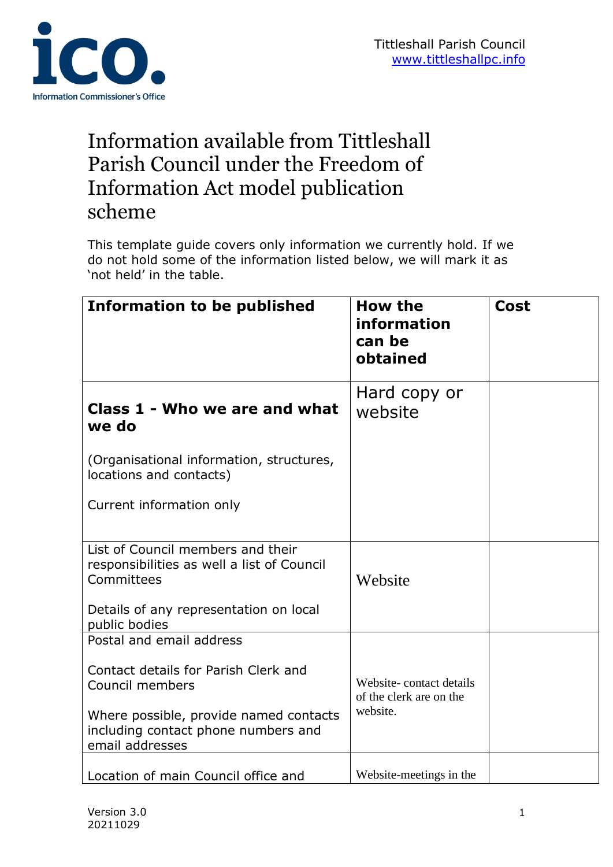

# Information available from Tittleshall Parish Council under the Freedom of Information Act model publication scheme

This template guide covers only information we currently hold. If we do not hold some of the information listed below, we will mark it as 'not held' in the table.

| <b>Information to be published</b>                                                               | <b>How the</b><br>information<br>can be<br>obtained | <b>Cost</b> |
|--------------------------------------------------------------------------------------------------|-----------------------------------------------------|-------------|
| Class 1 - Who we are and what<br>we do                                                           | Hard copy or<br>website                             |             |
| (Organisational information, structures,<br>locations and contacts)                              |                                                     |             |
| Current information only                                                                         |                                                     |             |
| List of Council members and their<br>responsibilities as well a list of Council<br>Committees    | Website                                             |             |
| Details of any representation on local<br>public bodies                                          |                                                     |             |
| Postal and email address                                                                         |                                                     |             |
| Contact details for Parish Clerk and<br>Council members                                          | Website-contact details<br>of the clerk are on the  |             |
| Where possible, provide named contacts<br>including contact phone numbers and<br>email addresses | website.                                            |             |
| Location of main Council office and                                                              | Website-meetings in the                             |             |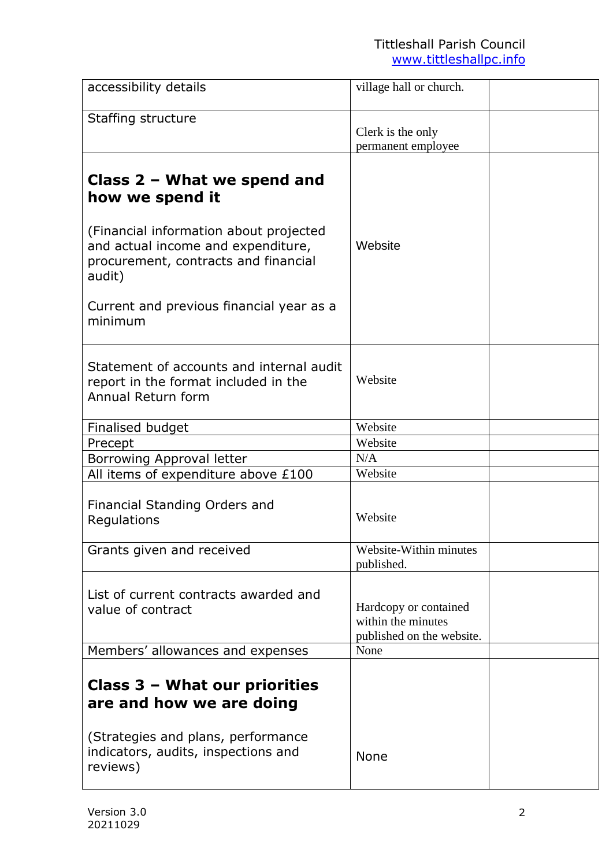| accessibility details                                                                                                          | village hall or church.                                                  |  |
|--------------------------------------------------------------------------------------------------------------------------------|--------------------------------------------------------------------------|--|
| Staffing structure                                                                                                             | Clerk is the only<br>permanent employee                                  |  |
| Class $2$ – What we spend and<br>how we spend it                                                                               |                                                                          |  |
| (Financial information about projected<br>and actual income and expenditure,<br>procurement, contracts and financial<br>audit) | Website                                                                  |  |
| Current and previous financial year as a<br>minimum                                                                            |                                                                          |  |
| Statement of accounts and internal audit<br>report in the format included in the<br>Annual Return form                         | Website                                                                  |  |
| Finalised budget                                                                                                               | Website                                                                  |  |
| Precept                                                                                                                        | Website                                                                  |  |
| Borrowing Approval letter                                                                                                      | N/A                                                                      |  |
| All items of expenditure above £100                                                                                            | Website                                                                  |  |
| Financial Standing Orders and<br>Regulations                                                                                   | Website                                                                  |  |
| Grants given and received                                                                                                      | Website-Within minutes<br>published.                                     |  |
| List of current contracts awarded and<br>value of contract                                                                     | Hardcopy or contained<br>within the minutes<br>published on the website. |  |
| Members' allowances and expenses                                                                                               | None                                                                     |  |
| Class 3 - What our priorities<br>are and how we are doing                                                                      |                                                                          |  |
| (Strategies and plans, performance<br>indicators, audits, inspections and<br>reviews)                                          | <b>None</b>                                                              |  |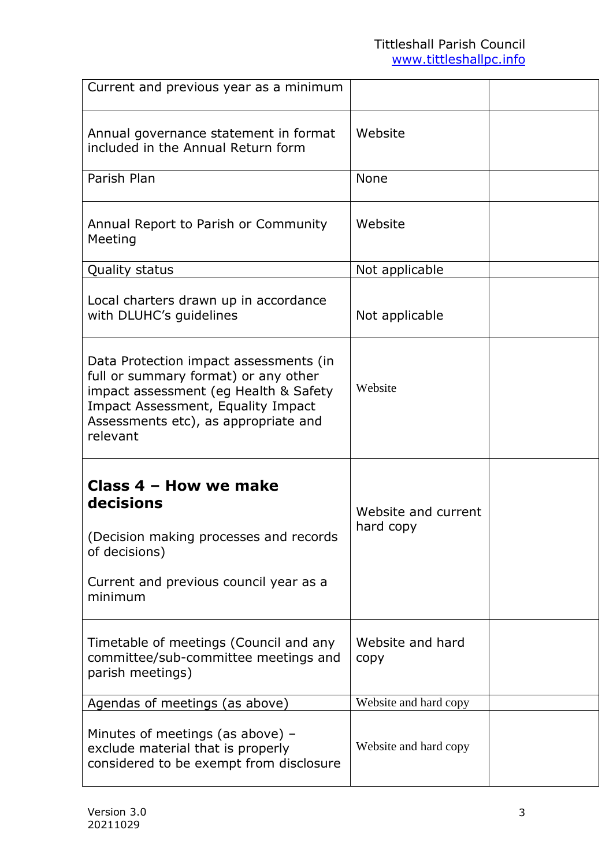| Current and previous year as a minimum                                                                                                                                                                            |                                  |  |
|-------------------------------------------------------------------------------------------------------------------------------------------------------------------------------------------------------------------|----------------------------------|--|
| Annual governance statement in format<br>included in the Annual Return form                                                                                                                                       | Website                          |  |
| Parish Plan                                                                                                                                                                                                       | <b>None</b>                      |  |
| Annual Report to Parish or Community<br>Meeting                                                                                                                                                                   | Website                          |  |
| Quality status                                                                                                                                                                                                    | Not applicable                   |  |
| Local charters drawn up in accordance<br>with DLUHC's guidelines                                                                                                                                                  | Not applicable                   |  |
| Data Protection impact assessments (in<br>full or summary format) or any other<br>impact assessment (eg Health & Safety<br>Impact Assessment, Equality Impact<br>Assessments etc), as appropriate and<br>relevant | Website                          |  |
| Class 4 - How we make<br>decisions<br>(Decision making processes and records<br>of decisions)<br>Current and previous council year as a<br>minimum                                                                | Website and current<br>hard copy |  |
| Timetable of meetings (Council and any<br>committee/sub-committee meetings and<br>parish meetings)                                                                                                                | Website and hard<br>copy         |  |
| Agendas of meetings (as above)                                                                                                                                                                                    | Website and hard copy            |  |
| Minutes of meetings (as above) $-$<br>exclude material that is properly<br>considered to be exempt from disclosure                                                                                                | Website and hard copy            |  |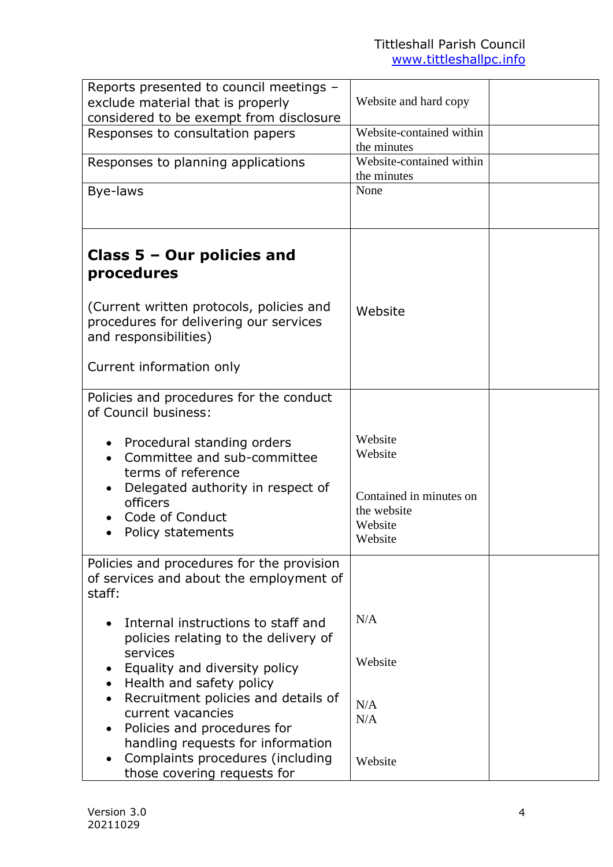| Reports presented to council meetings -                  |                                        |  |
|----------------------------------------------------------|----------------------------------------|--|
| exclude material that is properly                        | Website and hard copy                  |  |
| considered to be exempt from disclosure                  |                                        |  |
| Responses to consultation papers                         | Website-contained within               |  |
|                                                          | the minutes                            |  |
| Responses to planning applications                       | Website-contained within               |  |
|                                                          | the minutes                            |  |
| Bye-laws                                                 | None                                   |  |
|                                                          |                                        |  |
|                                                          |                                        |  |
|                                                          |                                        |  |
| Class $5 -$ Our policies and                             |                                        |  |
| procedures                                               |                                        |  |
|                                                          |                                        |  |
| (Current written protocols, policies and                 |                                        |  |
| procedures for delivering our services                   | Website                                |  |
| and responsibilities)                                    |                                        |  |
|                                                          |                                        |  |
| Current information only                                 |                                        |  |
|                                                          |                                        |  |
| Policies and procedures for the conduct                  |                                        |  |
| of Council business:                                     |                                        |  |
|                                                          |                                        |  |
| Procedural standing orders                               | Website                                |  |
| Committee and sub-committee                              | Website                                |  |
| terms of reference                                       |                                        |  |
| Delegated authority in respect of                        |                                        |  |
| officers                                                 | Contained in minutes on<br>the website |  |
| Code of Conduct                                          | Website                                |  |
| Policy statements                                        | Website                                |  |
|                                                          |                                        |  |
| Policies and procedures for the provision                |                                        |  |
| of services and about the employment of                  |                                        |  |
| staff:                                                   |                                        |  |
|                                                          | N/A                                    |  |
| Internal instructions to staff and                       |                                        |  |
| policies relating to the delivery of                     |                                        |  |
| services                                                 | Website                                |  |
| Equality and diversity policy                            |                                        |  |
| Health and safety policy                                 |                                        |  |
| Recruitment policies and details of<br>current vacancies | N/A                                    |  |
| Policies and procedures for                              | N/A                                    |  |
| handling requests for information                        |                                        |  |
| Complaints procedures (including                         |                                        |  |
| those covering requests for                              | Website                                |  |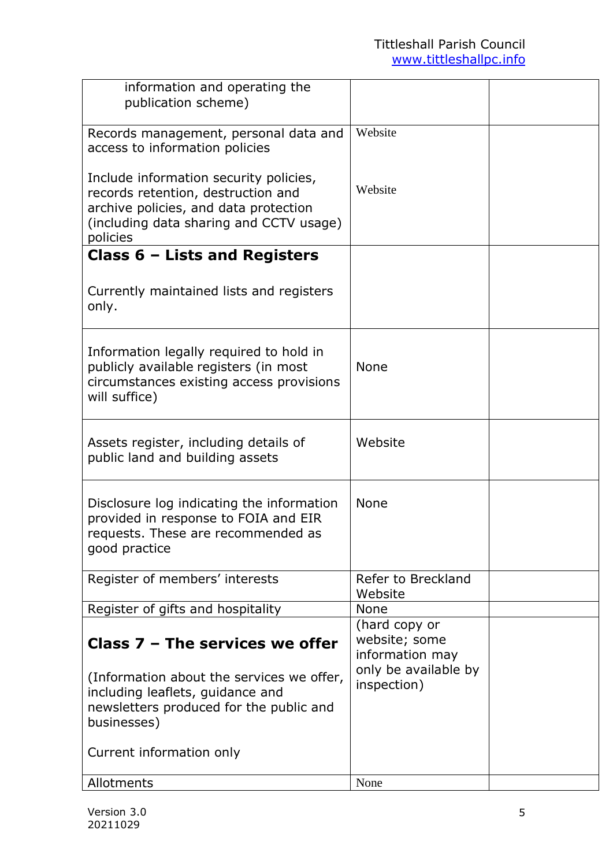| information and operating the<br>publication scheme)                                                                                                                                                     |                                                                                          |  |
|----------------------------------------------------------------------------------------------------------------------------------------------------------------------------------------------------------|------------------------------------------------------------------------------------------|--|
| Records management, personal data and<br>access to information policies                                                                                                                                  | Website                                                                                  |  |
| Include information security policies,<br>records retention, destruction and<br>archive policies, and data protection<br>(including data sharing and CCTV usage)<br>policies                             | Website                                                                                  |  |
| Class $6$ – Lists and Registers                                                                                                                                                                          |                                                                                          |  |
| Currently maintained lists and registers<br>only.                                                                                                                                                        |                                                                                          |  |
| Information legally required to hold in<br>publicly available registers (in most<br>circumstances existing access provisions<br>will suffice)                                                            | <b>None</b>                                                                              |  |
| Assets register, including details of<br>public land and building assets                                                                                                                                 | Website                                                                                  |  |
| Disclosure log indicating the information<br>provided in response to FOIA and EIR<br>requests. These are recommended as<br>good practice                                                                 | <b>None</b>                                                                              |  |
| Register of members' interests                                                                                                                                                                           | Refer to Breckland<br>Website                                                            |  |
| Register of gifts and hospitality                                                                                                                                                                        | <b>None</b>                                                                              |  |
| Class $7$ – The services we offer<br>(Information about the services we offer,<br>including leaflets, guidance and<br>newsletters produced for the public and<br>businesses)<br>Current information only | (hard copy or<br>website; some<br>information may<br>only be available by<br>inspection) |  |
| Allotments                                                                                                                                                                                               | None                                                                                     |  |
|                                                                                                                                                                                                          |                                                                                          |  |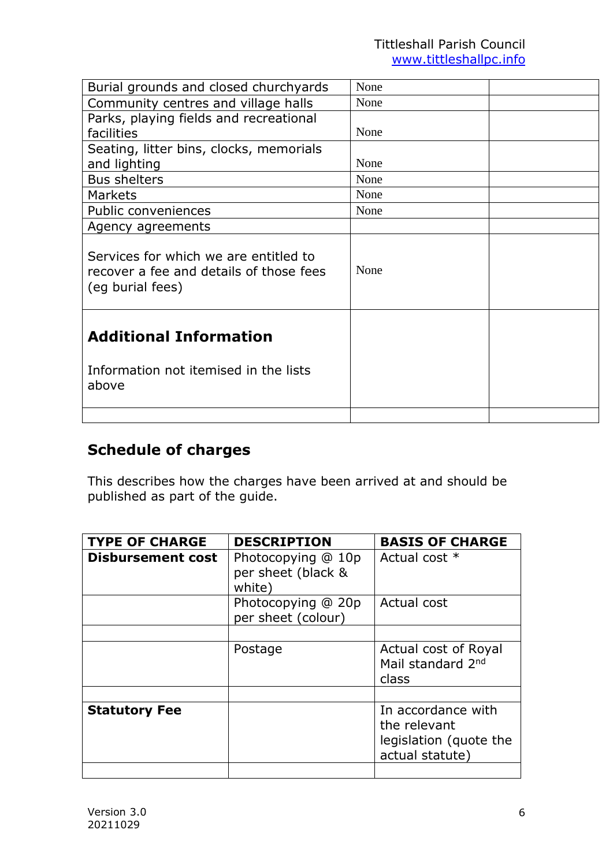| Burial grounds and closed churchyards                                                                | None |  |
|------------------------------------------------------------------------------------------------------|------|--|
| Community centres and village halls                                                                  | None |  |
| Parks, playing fields and recreational                                                               |      |  |
| facilities                                                                                           | None |  |
| Seating, litter bins, clocks, memorials                                                              |      |  |
| and lighting                                                                                         | None |  |
| <b>Bus shelters</b>                                                                                  | None |  |
| <b>Markets</b>                                                                                       | None |  |
| Public conveniences                                                                                  | None |  |
| Agency agreements                                                                                    |      |  |
| Services for which we are entitled to<br>recover a fee and details of those fees<br>(eq burial fees) | None |  |
| <b>Additional Information</b>                                                                        |      |  |
|                                                                                                      |      |  |
| Information not itemised in the lists<br>above                                                       |      |  |
|                                                                                                      |      |  |

## **Schedule of charges**

This describes how the charges have been arrived at and should be published as part of the guide.

| <b>TYPE OF CHARGE</b>    | <b>DESCRIPTION</b>                                 | <b>BASIS OF CHARGE</b>                                                          |
|--------------------------|----------------------------------------------------|---------------------------------------------------------------------------------|
| <b>Disbursement cost</b> | Photocopying @ 10p<br>per sheet (black &<br>white) | Actual cost *                                                                   |
|                          | Photocopying @ 20p<br>per sheet (colour)           | Actual cost                                                                     |
|                          | Postage                                            | Actual cost of Royal<br>Mail standard 2nd<br>class                              |
| <b>Statutory Fee</b>     |                                                    | In accordance with<br>the relevant<br>legislation (quote the<br>actual statute) |
|                          |                                                    |                                                                                 |